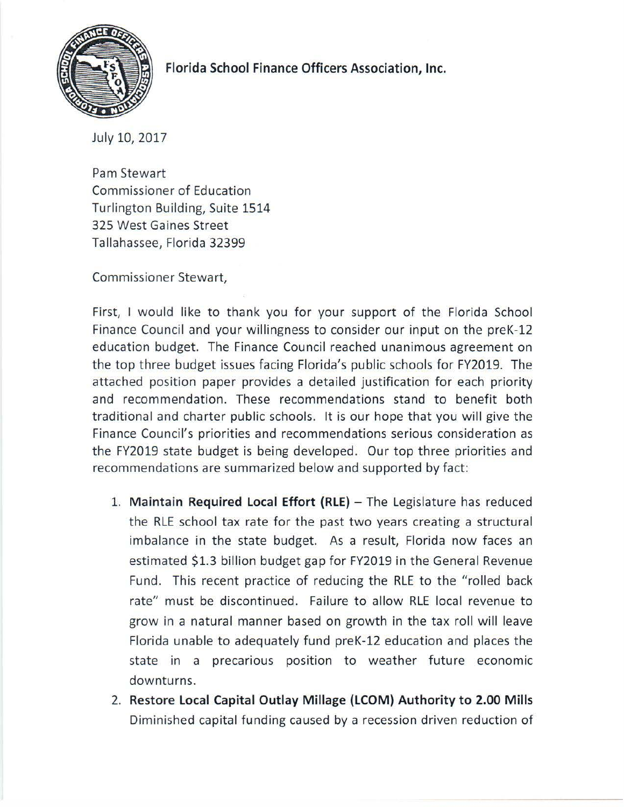

## **Florida School Finance Officers Association, Inc.**

July 10, 2017

Pam Stewart Commissioner of Education Turlington Building, Suite 1514 325 West Gaines Street Tallahassee, Florida 32399

Commissioner Stewart,

First, I would like to thank you for your support of the Florida School Finance Council and your willingness to consider our input on the preK-12 education budget. The Finance Council reached unanimous agreement on the top three budget issues facing Florida's public schools for FY2019. The attached position paper provides a detailed justification for each priority and recommendation. These recommendations stand to benefit both traditional and charter public schools. It is our hope that you will give the Finance Council's priorities and recommendations serious consideration as the FY2019 state budget is being developed. Our top three priorities and recommendations are summarized below and supported by fact:

- 1. **Maintain Required Local Effort (RLE)** The Legislature has reduced the RLE school tax rate for the past two years creating a structural imbalance in the state budget. As a result, Florida now faces an estimated \$1.3 billion budget gap for FY2019 in the General Revenue Fund. This recent practice of reducing the RLE to the "rolled back rate" must be discontinued. Failure to allow RLE local revenue to grow in a natural manner based on growth in the tax roll will leave Florida unable to adequately fund preK-12 education and places the state in a precarious position to weather future economic downturns.
- 2. **Restore Local Capital Outlay Millage {LCOM} Authority to 2.00 Mills**  Diminished capital funding caused by a recession driven reduction of